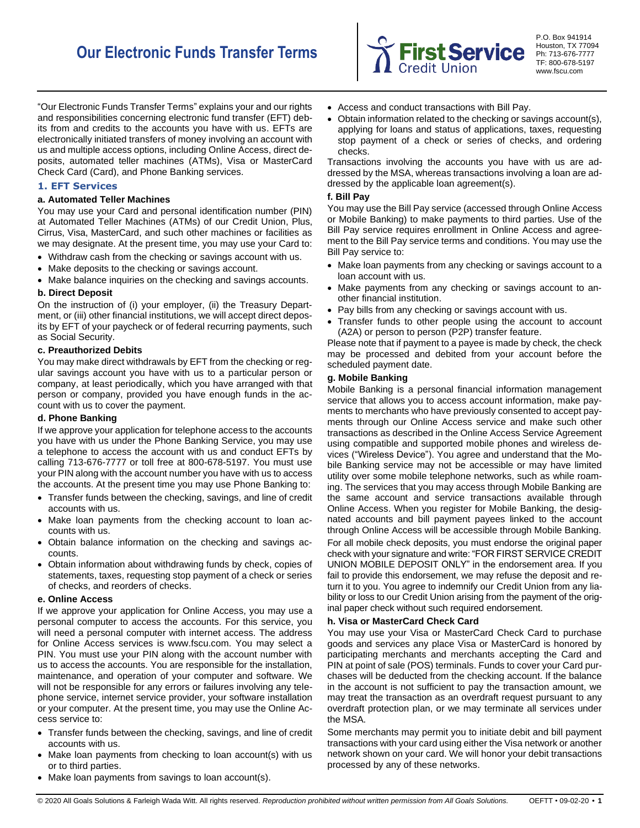

P.O. Box 941914 Houston, TX 77094 Ph: 713-676-7777 TF: 800-678-5197 www.fscu.com

"Our Electronic Funds Transfer Terms" explains your and our rights and responsibilities concerning electronic fund transfer (EFT) debits from and credits to the accounts you have with us. EFTs are electronically initiated transfers of money involving an account with us and multiple access options, including Online Access, direct deposits, automated teller machines (ATMs), Visa or MasterCard Check Card (Card), and Phone Banking services.

## **1. EFT Services**

### **a. Automated Teller Machines**

You may use your Card and personal identification number (PIN) at Automated Teller Machines (ATMs) of our Credit Union, Plus, Cirrus, Visa, MasterCard, and such other machines or facilities as we may designate. At the present time, you may use your Card to:

- Withdraw cash from the checking or savings account with us.
- Make deposits to the checking or savings account.
- Make balance inquiries on the checking and savings accounts.

### **b. Direct Deposit**

On the instruction of (i) your employer, (ii) the Treasury Department, or (iii) other financial institutions, we will accept direct deposits by EFT of your paycheck or of federal recurring payments, such as Social Security.

### **c. Preauthorized Debits**

You may make direct withdrawals by EFT from the checking or regular savings account you have with us to a particular person or company, at least periodically, which you have arranged with that person or company, provided you have enough funds in the account with us to cover the payment.

#### **d. Phone Banking**

If we approve your application for telephone access to the accounts you have with us under the Phone Banking Service, you may use a telephone to access the account with us and conduct EFTs by calling 713-676-7777 or toll free at 800-678-5197. You must use your PIN along with the account number you have with us to access the accounts. At the present time you may use Phone Banking to:

- Transfer funds between the checking, savings, and line of credit accounts with us.
- Make loan payments from the checking account to loan accounts with us.
- Obtain balance information on the checking and savings accounts.
- Obtain information about withdrawing funds by check, copies of statements, taxes, requesting stop payment of a check or series of checks, and reorders of checks.

#### **e. Online Access**

If we approve your application for Online Access, you may use a personal computer to access the accounts. For this service, you will need a personal computer with internet access. The address for Online Access services is www.fscu.com. You may select a PIN. You must use your PIN along with the account number with us to access the accounts. You are responsible for the installation, maintenance, and operation of your computer and software. We will not be responsible for any errors or failures involving any telephone service, internet service provider, your software installation or your computer. At the present time, you may use the Online Access service to:

- Transfer funds between the checking, savings, and line of credit accounts with us.
- Make loan payments from checking to loan account(s) with us or to third parties.
- Make loan payments from savings to loan account(s).
- Access and conduct transactions with Bill Pay.
- Obtain information related to the checking or savings account(s), applying for loans and status of applications, taxes, requesting stop payment of a check or series of checks, and ordering checks.

Transactions involving the accounts you have with us are addressed by the MSA, whereas transactions involving a loan are addressed by the applicable loan agreement(s).

#### **f. Bill Pay**

You may use the Bill Pay service (accessed through Online Access or Mobile Banking) to make payments to third parties. Use of the Bill Pay service requires enrollment in Online Access and agreement to the Bill Pay service terms and conditions. You may use the Bill Pay service to:

- Make loan payments from any checking or savings account to a loan account with us.
- Make payments from any checking or savings account to another financial institution.
- Pay bills from any checking or savings account with us.
- Transfer funds to other people using the account to account (A2A) or person to person (P2P) transfer feature.

Please note that if payment to a payee is made by check, the check may be processed and debited from your account before the scheduled payment date.

## **g. Mobile Banking**

Mobile Banking is a personal financial information management service that allows you to access account information, make payments to merchants who have previously consented to accept payments through our Online Access service and make such other transactions as described in the Online Access Service Agreement using compatible and supported mobile phones and wireless devices ("Wireless Device"). You agree and understand that the Mobile Banking service may not be accessible or may have limited utility over some mobile telephone networks, such as while roaming. The services that you may access through Mobile Banking are the same account and service transactions available through Online Access. When you register for Mobile Banking, the designated accounts and bill payment payees linked to the account through Online Access will be accessible through Mobile Banking.

For all mobile check deposits, you must endorse the original paper check with your signature and write: "FOR FIRST SERVICE CREDIT UNION MOBILE DEPOSIT ONLY" in the endorsement area. If you fail to provide this endorsement, we may refuse the deposit and return it to you. You agree to indemnify our Credit Union from any liability or loss to our Credit Union arising from the payment of the original paper check without such required endorsement.

## **h. Visa or MasterCard Check Card**

You may use your Visa or MasterCard Check Card to purchase goods and services any place Visa or MasterCard is honored by participating merchants and merchants accepting the Card and PIN at point of sale (POS) terminals. Funds to cover your Card purchases will be deducted from the checking account. If the balance in the account is not sufficient to pay the transaction amount, we may treat the transaction as an overdraft request pursuant to any overdraft protection plan, or we may terminate all services under the MSA.

Some merchants may permit you to initiate debit and bill payment transactions with your card using either the Visa network or another network shown on your card. We will honor your debit transactions processed by any of these networks.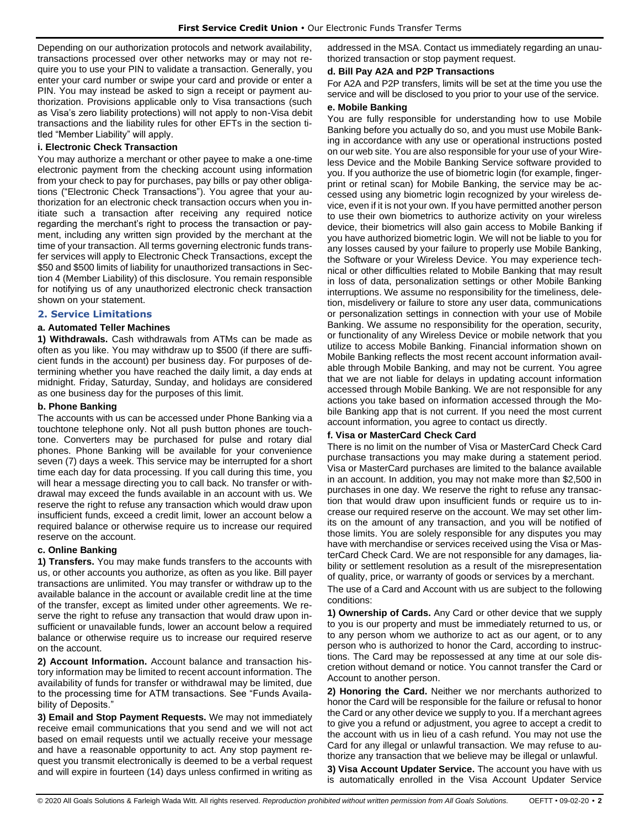Depending on our authorization protocols and network availability, transactions processed over other networks may or may not require you to use your PIN to validate a transaction. Generally, you enter your card number or swipe your card and provide or enter a PIN. You may instead be asked to sign a receipt or payment authorization. Provisions applicable only to Visa transactions (such as Visa's zero liability protections) will not apply to non-Visa debit transactions and the liability rules for other EFTs in the section titled "Member Liability" will apply.

## **i. Electronic Check Transaction**

You may authorize a merchant or other payee to make a one-time electronic payment from the checking account using information from your check to pay for purchases, pay bills or pay other obligations ("Electronic Check Transactions"). You agree that your authorization for an electronic check transaction occurs when you initiate such a transaction after receiving any required notice regarding the merchant's right to process the transaction or payment, including any written sign provided by the merchant at the time of your transaction. All terms governing electronic funds transfer services will apply to Electronic Check Transactions, except the \$50 and \$500 limits of liability for unauthorized transactions in Section 4 (Member Liability) of this disclosure. You remain responsible for notifying us of any unauthorized electronic check transaction shown on your statement.

## **2. Service Limitations**

## **a. Automated Teller Machines**

**1) Withdrawals.** Cash withdrawals from ATMs can be made as often as you like. You may withdraw up to \$500 (if there are sufficient funds in the account) per business day. For purposes of determining whether you have reached the daily limit, a day ends at midnight. Friday, Saturday, Sunday, and holidays are considered as one business day for the purposes of this limit.

## **b. Phone Banking**

The accounts with us can be accessed under Phone Banking via a touchtone telephone only. Not all push button phones are touchtone. Converters may be purchased for pulse and rotary dial phones. Phone Banking will be available for your convenience seven (7) days a week. This service may be interrupted for a short time each day for data processing. If you call during this time, you will hear a message directing you to call back. No transfer or withdrawal may exceed the funds available in an account with us. We reserve the right to refuse any transaction which would draw upon insufficient funds, exceed a credit limit, lower an account below a required balance or otherwise require us to increase our required reserve on the account.

## **c. Online Banking**

**1) Transfers.** You may make funds transfers to the accounts with us, or other accounts you authorize, as often as you like. Bill payer transactions are unlimited. You may transfer or withdraw up to the available balance in the account or available credit line at the time of the transfer, except as limited under other agreements. We reserve the right to refuse any transaction that would draw upon insufficient or unavailable funds, lower an account below a required balance or otherwise require us to increase our required reserve on the account.

**2) Account Information.** Account balance and transaction history information may be limited to recent account information. The availability of funds for transfer or withdrawal may be limited, due to the processing time for ATM transactions. See "Funds Availability of Deposits."

**3) Email and Stop Payment Requests.** We may not immediately receive email communications that you send and we will not act based on email requests until we actually receive your message and have a reasonable opportunity to act. Any stop payment request you transmit electronically is deemed to be a verbal request and will expire in fourteen (14) days unless confirmed in writing as addressed in the MSA. Contact us immediately regarding an unauthorized transaction or stop payment request.

## **d. Bill Pay A2A and P2P Transactions**

For A2A and P2P transfers, limits will be set at the time you use the service and will be disclosed to you prior to your use of the service.

### **e. Mobile Banking**

You are fully responsible for understanding how to use Mobile Banking before you actually do so, and you must use Mobile Banking in accordance with any use or operational instructions posted on our web site. You are also responsible for your use of your Wireless Device and the Mobile Banking Service software provided to you. If you authorize the use of biometric login (for example, fingerprint or retinal scan) for Mobile Banking, the service may be accessed using any biometric login recognized by your wireless device, even if it is not your own. If you have permitted another person to use their own biometrics to authorize activity on your wireless device, their biometrics will also gain access to Mobile Banking if you have authorized biometric login. We will not be liable to you for any losses caused by your failure to properly use Mobile Banking, the Software or your Wireless Device. You may experience technical or other difficulties related to Mobile Banking that may result in loss of data, personalization settings or other Mobile Banking interruptions. We assume no responsibility for the timeliness, deletion, misdelivery or failure to store any user data, communications or personalization settings in connection with your use of Mobile Banking. We assume no responsibility for the operation, security, or functionality of any Wireless Device or mobile network that you utilize to access Mobile Banking. Financial information shown on Mobile Banking reflects the most recent account information available through Mobile Banking, and may not be current. You agree that we are not liable for delays in updating account information accessed through Mobile Banking. We are not responsible for any actions you take based on information accessed through the Mobile Banking app that is not current. If you need the most current account information, you agree to contact us directly.

## **f. Visa or MasterCard Check Card**

There is no limit on the number of Visa or MasterCard Check Card purchase transactions you may make during a statement period. Visa or MasterCard purchases are limited to the balance available in an account. In addition, you may not make more than \$2,500 in purchases in one day. We reserve the right to refuse any transaction that would draw upon insufficient funds or require us to increase our required reserve on the account. We may set other limits on the amount of any transaction, and you will be notified of those limits. You are solely responsible for any disputes you may have with merchandise or services received using the Visa or MasterCard Check Card. We are not responsible for any damages, liability or settlement resolution as a result of the misrepresentation of quality, price, or warranty of goods or services by a merchant.

The use of a Card and Account with us are subject to the following conditions:

**1) Ownership of Cards.** Any Card or other device that we supply to you is our property and must be immediately returned to us, or to any person whom we authorize to act as our agent, or to any person who is authorized to honor the Card, according to instructions. The Card may be repossessed at any time at our sole discretion without demand or notice. You cannot transfer the Card or Account to another person.

**2) Honoring the Card.** Neither we nor merchants authorized to honor the Card will be responsible for the failure or refusal to honor the Card or any other device we supply to you. If a merchant agrees to give you a refund or adjustment, you agree to accept a credit to the account with us in lieu of a cash refund. You may not use the Card for any illegal or unlawful transaction. We may refuse to authorize any transaction that we believe may be illegal or unlawful.

**3) Visa Account Updater Service.** The account you have with us is automatically enrolled in the Visa Account Updater Service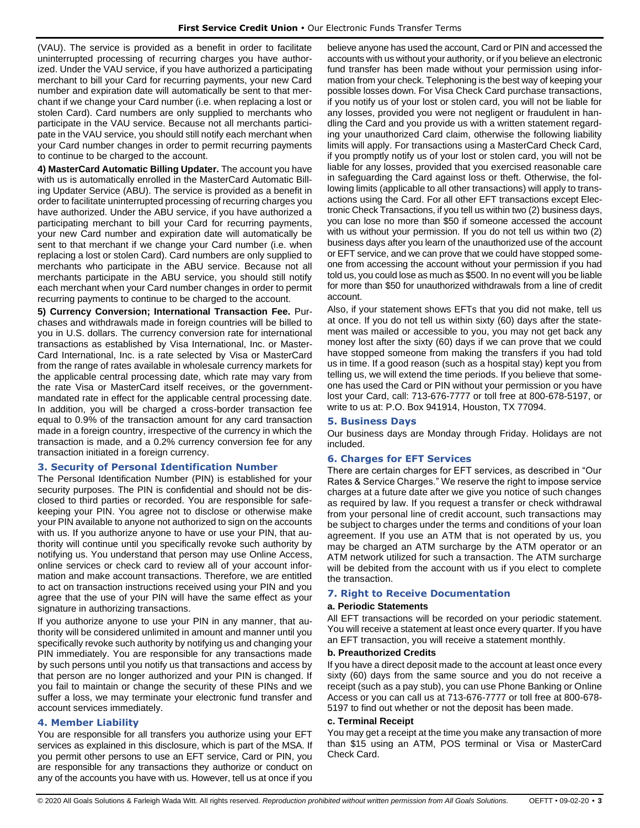(VAU). The service is provided as a benefit in order to facilitate uninterrupted processing of recurring charges you have authorized. Under the VAU service, if you have authorized a participating merchant to bill your Card for recurring payments, your new Card number and expiration date will automatically be sent to that merchant if we change your Card number (i.e. when replacing a lost or stolen Card). Card numbers are only supplied to merchants who participate in the VAU service. Because not all merchants participate in the VAU service, you should still notify each merchant when your Card number changes in order to permit recurring payments to continue to be charged to the account.

**4) MasterCard Automatic Billing Updater.** The account you have with us is automatically enrolled in the MasterCard Automatic Billing Updater Service (ABU). The service is provided as a benefit in order to facilitate uninterrupted processing of recurring charges you have authorized. Under the ABU service, if you have authorized a participating merchant to bill your Card for recurring payments, your new Card number and expiration date will automatically be sent to that merchant if we change your Card number (i.e. when replacing a lost or stolen Card). Card numbers are only supplied to merchants who participate in the ABU service. Because not all merchants participate in the ABU service, you should still notify each merchant when your Card number changes in order to permit recurring payments to continue to be charged to the account.

**5) Currency Conversion; International Transaction Fee.** Purchases and withdrawals made in foreign countries will be billed to you in U.S. dollars. The currency conversion rate for international transactions as established by Visa International, Inc. or Master-Card International, Inc. is a rate selected by Visa or MasterCard from the range of rates available in wholesale currency markets for the applicable central processing date, which rate may vary from the rate Visa or MasterCard itself receives, or the governmentmandated rate in effect for the applicable central processing date. In addition, you will be charged a cross-border transaction fee equal to 0.9% of the transaction amount for any card transaction made in a foreign country, irrespective of the currency in which the transaction is made, and a 0.2% currency conversion fee for any transaction initiated in a foreign currency.

#### **3. Security of Personal Identification Number**

The Personal Identification Number (PIN) is established for your security purposes. The PIN is confidential and should not be disclosed to third parties or recorded. You are responsible for safekeeping your PIN. You agree not to disclose or otherwise make your PIN available to anyone not authorized to sign on the accounts with us. If you authorize anyone to have or use your PIN, that authority will continue until you specifically revoke such authority by notifying us. You understand that person may use Online Access, online services or check card to review all of your account information and make account transactions. Therefore, we are entitled to act on transaction instructions received using your PIN and you agree that the use of your PIN will have the same effect as your signature in authorizing transactions.

If you authorize anyone to use your PIN in any manner, that authority will be considered unlimited in amount and manner until you specifically revoke such authority by notifying us and changing your PIN immediately. You are responsible for any transactions made by such persons until you notify us that transactions and access by that person are no longer authorized and your PIN is changed. If you fail to maintain or change the security of these PINs and we suffer a loss, we may terminate your electronic fund transfer and account services immediately.

### **4. Member Liability**

You are responsible for all transfers you authorize using your EFT services as explained in this disclosure, which is part of the MSA. If you permit other persons to use an EFT service, Card or PIN, you are responsible for any transactions they authorize or conduct on any of the accounts you have with us. However, tell us at once if you believe anyone has used the account, Card or PIN and accessed the accounts with us without your authority, or if you believe an electronic fund transfer has been made without your permission using information from your check. Telephoning is the best way of keeping your possible losses down. For Visa Check Card purchase transactions, if you notify us of your lost or stolen card, you will not be liable for any losses, provided you were not negligent or fraudulent in handling the Card and you provide us with a written statement regarding your unauthorized Card claim, otherwise the following liability limits will apply. For transactions using a MasterCard Check Card, if you promptly notify us of your lost or stolen card, you will not be liable for any losses, provided that you exercised reasonable care in safeguarding the Card against loss or theft. Otherwise, the following limits (applicable to all other transactions) will apply to transactions using the Card. For all other EFT transactions except Electronic Check Transactions, if you tell us within two (2) business days, you can lose no more than \$50 if someone accessed the account with us without your permission. If you do not tell us within two (2) business days after you learn of the unauthorized use of the account or EFT service, and we can prove that we could have stopped someone from accessing the account without your permission if you had told us, you could lose as much as \$500. In no event will you be liable for more than \$50 for unauthorized withdrawals from a line of credit account.

Also, if your statement shows EFTs that you did not make, tell us at once. If you do not tell us within sixty (60) days after the statement was mailed or accessible to you, you may not get back any money lost after the sixty (60) days if we can prove that we could have stopped someone from making the transfers if you had told us in time. If a good reason (such as a hospital stay) kept you from telling us, we will extend the time periods. If you believe that someone has used the Card or PIN without your permission or you have lost your Card, call: 713-676-7777 or toll free at 800-678-5197, or write to us at: P.O. Box 941914, Houston, TX 77094.

#### **5. Business Days**

Our business days are Monday through Friday. Holidays are not included.

## **6. Charges for EFT Services**

There are certain charges for EFT services, as described in "Our Rates & Service Charges." We reserve the right to impose service charges at a future date after we give you notice of such changes as required by law. If you request a transfer or check withdrawal from your personal line of credit account, such transactions may be subject to charges under the terms and conditions of your loan agreement. If you use an ATM that is not operated by us, you may be charged an ATM surcharge by the ATM operator or an ATM network utilized for such a transaction. The ATM surcharge will be debited from the account with us if you elect to complete the transaction.

## **7. Right to Receive Documentation**

#### **a. Periodic Statements**

All EFT transactions will be recorded on your periodic statement. You will receive a statement at least once every quarter. If you have an EFT transaction, you will receive a statement monthly.

#### **b. Preauthorized Credits**

If you have a direct deposit made to the account at least once every sixty (60) days from the same source and you do not receive a receipt (such as a pay stub), you can use Phone Banking or Online Access or you can call us at 713-676-7777 or toll free at 800-678- 5197 to find out whether or not the deposit has been made.

#### **c. Terminal Receipt**

You may get a receipt at the time you make any transaction of more than \$15 using an ATM, POS terminal or Visa or MasterCard Check Card.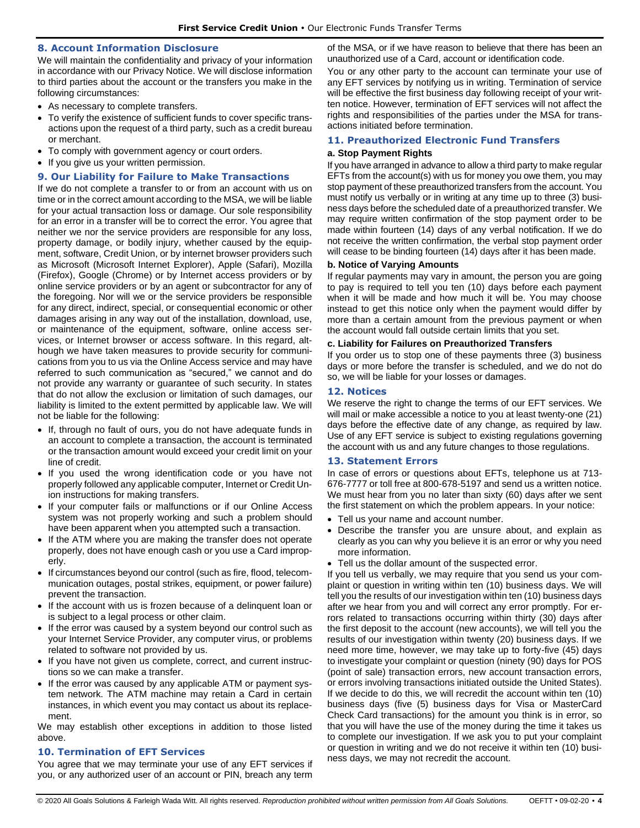## **8. Account Information Disclosure**

We will maintain the confidentiality and privacy of your information in accordance with our Privacy Notice. We will disclose information to third parties about the account or the transfers you make in the following circumstances:

- As necessary to complete transfers.
- To verify the existence of sufficient funds to cover specific transactions upon the request of a third party, such as a credit bureau or merchant.
- To comply with government agency or court orders.
- If you give us your written permission.

### **9. Our Liability for Failure to Make Transactions**

If we do not complete a transfer to or from an account with us on time or in the correct amount according to the MSA, we will be liable for your actual transaction loss or damage. Our sole responsibility for an error in a transfer will be to correct the error. You agree that neither we nor the service providers are responsible for any loss, property damage, or bodily injury, whether caused by the equipment, software, Credit Union, or by internet browser providers such as Microsoft (Microsoft Internet Explorer), Apple (Safari), Mozilla (Firefox), Google (Chrome) or by Internet access providers or by online service providers or by an agent or subcontractor for any of the foregoing. Nor will we or the service providers be responsible for any direct, indirect, special, or consequential economic or other damages arising in any way out of the installation, download, use, or maintenance of the equipment, software, online access services, or Internet browser or access software. In this regard, although we have taken measures to provide security for communications from you to us via the Online Access service and may have referred to such communication as "secured," we cannot and do not provide any warranty or guarantee of such security. In states that do not allow the exclusion or limitation of such damages, our liability is limited to the extent permitted by applicable law. We will not be liable for the following:

- If, through no fault of ours, you do not have adequate funds in an account to complete a transaction, the account is terminated or the transaction amount would exceed your credit limit on your line of credit.
- If you used the wrong identification code or you have not properly followed any applicable computer, Internet or Credit Union instructions for making transfers.
- If your computer fails or malfunctions or if our Online Access system was not properly working and such a problem should have been apparent when you attempted such a transaction.
- If the ATM where you are making the transfer does not operate properly, does not have enough cash or you use a Card improperly.
- If circumstances beyond our control (such as fire, flood, telecommunication outages, postal strikes, equipment, or power failure) prevent the transaction.
- If the account with us is frozen because of a delinguent loan or is subject to a legal process or other claim.
- If the error was caused by a system beyond our control such as your Internet Service Provider, any computer virus, or problems related to software not provided by us.
- If you have not given us complete, correct, and current instructions so we can make a transfer.
- If the error was caused by any applicable ATM or payment system network. The ATM machine may retain a Card in certain instances, in which event you may contact us about its replacement.

We may establish other exceptions in addition to those listed above.

# **10. Termination of EFT Services**

You agree that we may terminate your use of any EFT services if you, or any authorized user of an account or PIN, breach any term of the MSA, or if we have reason to believe that there has been an unauthorized use of a Card, account or identification code.

You or any other party to the account can terminate your use of any EFT services by notifying us in writing. Termination of service will be effective the first business day following receipt of your written notice. However, termination of EFT services will not affect the rights and responsibilities of the parties under the MSA for transactions initiated before termination.

## **11. Preauthorized Electronic Fund Transfers**

## **a. Stop Payment Rights**

If you have arranged in advance to allow a third party to make regular EFTs from the account(s) with us for money you owe them, you may stop payment of these preauthorized transfers from the account. You must notify us verbally or in writing at any time up to three (3) business days before the scheduled date of a preauthorized transfer. We may require written confirmation of the stop payment order to be made within fourteen (14) days of any verbal notification. If we do not receive the written confirmation, the verbal stop payment order will cease to be binding fourteen (14) days after it has been made.

## **b. Notice of Varying Amounts**

If regular payments may vary in amount, the person you are going to pay is required to tell you ten (10) days before each payment when it will be made and how much it will be. You may choose instead to get this notice only when the payment would differ by more than a certain amount from the previous payment or when the account would fall outside certain limits that you set.

## **c. Liability for Failures on Preauthorized Transfers**

If you order us to stop one of these payments three (3) business days or more before the transfer is scheduled, and we do not do so, we will be liable for your losses or damages.

## **12. Notices**

We reserve the right to change the terms of our EFT services. We will mail or make accessible a notice to you at least twenty-one (21) days before the effective date of any change, as required by law. Use of any EFT service is subject to existing regulations governing the account with us and any future changes to those regulations.

# **13. Statement Errors**

In case of errors or questions about EFTs, telephone us at 713- 676-7777 or toll free at 800-678-5197 and send us a written notice. We must hear from you no later than sixty (60) days after we sent the first statement on which the problem appears. In your notice:

- Tell us your name and account number.
- Describe the transfer you are unsure about, and explain as clearly as you can why you believe it is an error or why you need more information.
- Tell us the dollar amount of the suspected error.

If you tell us verbally, we may require that you send us your complaint or question in writing within ten (10) business days. We will tell you the results of our investigation within ten (10) business days after we hear from you and will correct any error promptly. For errors related to transactions occurring within thirty (30) days after the first deposit to the account (new accounts), we will tell you the results of our investigation within twenty (20) business days. If we need more time, however, we may take up to forty-five (45) days to investigate your complaint or question (ninety (90) days for POS (point of sale) transaction errors, new account transaction errors, or errors involving transactions initiated outside the United States). If we decide to do this, we will recredit the account within ten (10) business days (five (5) business days for Visa or MasterCard Check Card transactions) for the amount you think is in error, so that you will have the use of the money during the time it takes us to complete our investigation. If we ask you to put your complaint or question in writing and we do not receive it within ten (10) business days, we may not recredit the account.